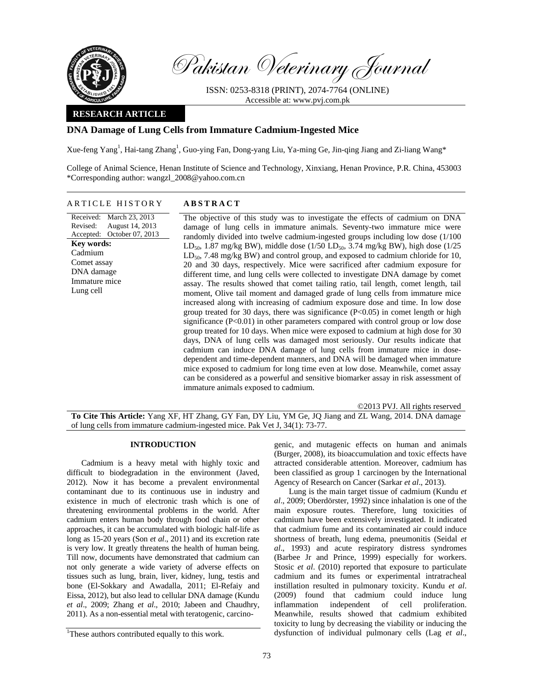

Pakistan Veterinary Journal

ISSN: 0253-8318 (PRINT), 2074-7764 (ONLINE) Accessible at: www.pvj.com.pk

## **RESEARCH ARTICLE**

# **DNA Damage of Lung Cells from Immature Cadmium-Ingested Mice**

Xue-feng Yang<sup>1</sup>, Hai-tang Zhang<sup>1</sup>, Guo-ying Fan, Dong-yang Liu, Ya-ming Ge, Jin-qing Jiang and Zi-liang Wang\*

College of Animal Science, Henan Institute of Science and Technology, Xinxiang, Henan Province, P.R. China, 453003 \*Corresponding author: wangzl\_2008@yahoo.com.cn

# ARTICLE HISTORY **ABSTRACT**

Received: March 23, 2013 Revised: Accepted: August 14, 2013 October 07, 2013 **Key words:**  Cadmium Comet assay DNA damage Immature mice Lung cell

 The objective of this study was to investigate the effects of cadmium on DNA damage of lung cells in immature animals. Seventy-two immature mice were randomly divided into twelve cadmium-ingested groups including low dose (1/100 LD<sub>50</sub>, 1.87 mg/kg BW), middle dose (1/50 LD<sub>50</sub>, 3.74 mg/kg BW), high dose (1/25  $LD_{50}$ , 7.48 mg/kg BW) and control group, and exposed to cadmium chloride for 10, 20 and 30 days, respectively. Mice were sacrificed after cadmium exposure for different time, and lung cells were collected to investigate DNA damage by comet assay. The results showed that comet tailing ratio, tail length, comet length, tail moment, Olive tail moment and damaged grade of lung cells from immature mice increased along with increasing of cadmium exposure dose and time. In low dose group treated for 30 days, there was significance (P<0.05) in comet length or high significance (P<0.01) in other parameters compared with control group or low dose group treated for 10 days. When mice were exposed to cadmium at high dose for 30 days, DNA of lung cells was damaged most seriously. Our results indicate that cadmium can induce DNA damage of lung cells from immature mice in dosedependent and time-dependent manners, and DNA will be damaged when immature mice exposed to cadmium for long time even at low dose. Meanwhile, comet assay can be considered as a powerful and sensitive biomarker assay in risk assessment of immature animals exposed to cadmium.

©2013 PVJ. All rights reserved **To Cite This Article:** Yang XF, HT Zhang, GY Fan, DY Liu, YM Ge, JQ Jiang and ZL Wang, 2014. DNA damage of lung cells from immature cadmium-ingested mice. Pak Vet J, 34(1): 73-77.

### **INTRODUCTION**

Cadmium is a heavy metal with highly toxic and difficult to biodegradation in the environment (Javed, 2012). Now it has become a prevalent environmental contaminant due to its continuous use in industry and existence in much of electronic trash which is one of threatening environmental problems in the world. After cadmium enters human body through food chain or other approaches, it can be accumulated with biologic half-life as long as 15-20 years (Son *et al*., 2011) and its excretion rate is very low. It greatly threatens the health of human being. Till now, documents have demonstrated that cadmium can not only generate a wide variety of adverse effects on tissues such as lung, brain, liver, kidney, lung, testis and bone (El-Sokkary and Awadalla, 2011; El-Refaiy and Eissa, 2012), but also lead to cellular DNA damage (Kundu *et al*., 2009; Zhang *et al*., 2010; Jabeen and Chaudhry, 2011). As a non-essential metal with teratogenic, carcino-

<sup>1</sup>These authors contributed equally to this work.

genic, and mutagenic effects on human and animals (Burger, 2008), its bioaccumulation and toxic effects have attracted considerable attention. Moreover, cadmium has been classified as group 1 carcinogen by the International Agency of Research on Cancer (Sarkar *et al*., 2013).

Lung is the main target tissue of cadmium (Kundu *et al*., 2009; Oberdörster, 1992) since inhalation is one of the main exposure routes. Therefore, lung toxicities of cadmium have been extensively investigated. It indicated that cadmium fume and its contaminated air could induce shortness of breath, lung edema, pneumonitis (Seidal *et al*., 1993) and acute respiratory distress syndromes (Barbee Jr and Prince, 1999) especially for workers. Stosic *et al.* (2010) reported that exposure to particulate cadmium and its fumes or experimental intratracheal instillation resulted in pulmonary toxicity. Kundu *et al*. (2009) found that cadmium could induce lung inflammation independent of cell proliferation. Meanwhile, results showed that cadmium exhibited toxicity to lung by decreasing the viability or inducing the dysfunction of individual pulmonary cells (Lag *et al*.,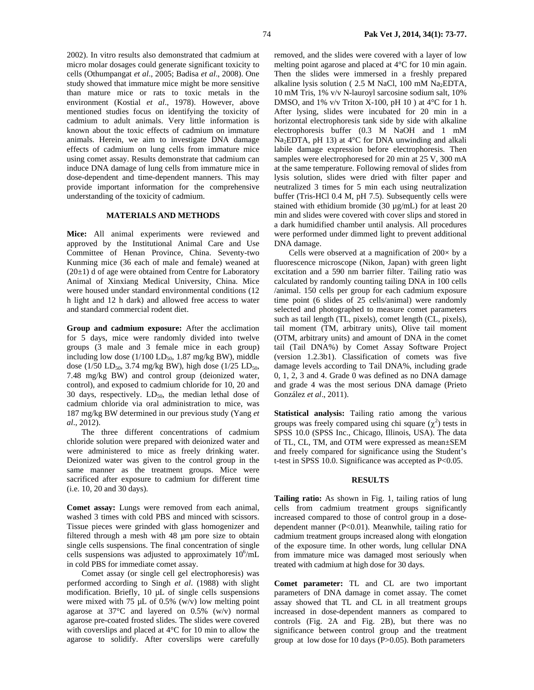2002). In vitro results also demonstrated that cadmium at micro molar dosages could generate significant toxicity to cells (Othumpangat *et al*., 2005; Badisa *et al*., 2008). One study showed that immature mice might be more sensitive than mature mice or rats to toxic metals in the environment (Kostial *et al*., 1978). However, above mentioned studies focus on identifying the toxicity of cadmium to adult animals. Very little information is known about the toxic effects of cadmium on immature animals. Herein, we aim to investigate DNA damage effects of cadmium on lung cells from immature mice using comet assay. Results demonstrate that cadmium can induce DNA damage of lung cells from immature mice in dose-dependent and time-dependent manners. This may provide important information for the comprehensive understanding of the toxicity of cadmium.

#### **MATERIALS AND METHODS**

**Mice:** All animal experiments were reviewed and approved by the Institutional Animal Care and Use Committee of Henan Province, China. Seventy-two Kunming mice (36 each of male and female) weaned at  $(20±1)$  d of age were obtained from Centre for Laboratory Animal of Xinxiang Medical University, China. Mice were housed under standard environmental conditions (12 h light and 12 h dark) and allowed free access to water and standard commercial rodent diet.

**Group and cadmium exposure:** After the acclimation for 5 days, mice were randomly divided into twelve groups (3 male and 3 female mice in each group) including low dose  $(1/100 \text{ LD}_{50}, 1.87 \text{ mg/kg BW})$ , middle dose (1/50 LD<sub>50</sub>, 3.74 mg/kg BW), high dose (1/25 LD<sub>50</sub>, 7.48 mg/kg BW) and control group (deionized water, control), and exposed to cadmium chloride for 10, 20 and 30 days, respectively.  $LD_{50}$ , the median lethal dose of cadmium chloride via oral administration to mice, was 187 mg/kg BW determined in our previous study (Yang *et al*., 2012).

The three different concentrations of cadmium chloride solution were prepared with deionized water and were administered to mice as freely drinking water. Deionized water was given to the control group in the same manner as the treatment groups. Mice were sacrificed after exposure to cadmium for different time (i.e. 10, 20 and 30 days).

**Comet assay:** Lungs were removed from each animal, washed 3 times with cold PBS and minced with scissors. Tissue pieces were grinded with glass homogenizer and filtered through a mesh with 48 µm pore size to obtain single cells suspensions. The final concentration of single cells suspensions was adjusted to approximately  $10^6$ /mL in cold PBS for immediate comet assay.

Comet assay (or single cell gel electrophoresis) was performed according to Singh *et al*. (1988) with slight modification. Briefly, 10 µL of single cells suspensions were mixed with 75  $\mu$ L of 0.5% (w/v) low melting point agarose at 37°C and layered on 0.5% (w/v) normal agarose pre-coated frosted slides. The slides were covered with coverslips and placed at 4°C for 10 min to allow the agarose to solidify. After coverslips were carefully

removed, and the slides were covered with a layer of low melting point agarose and placed at 4°C for 10 min again. Then the slides were immersed in a freshly prepared alkaline lysis solution ( $2.5$  M NaCl, 100 mM Na<sub>2</sub>EDTA, 10 mM Tris, 1% v/v N-lauroyl sarcosine sodium salt, 10% DMSO, and  $1\%$  v/v Triton X-100, pH 10 ) at 4 $\degree$ C for 1 h. After lysing, slides were incubated for 20 min in a horizontal electrophoresis tank side by side with alkaline electrophoresis buffer (0.3 M NaOH and 1 mM  $Na<sub>2</sub>EDTA$ , pH 13) at 4°C for DNA unwinding and alkali labile damage expression before electrophoresis. Then samples were electrophoresed for 20 min at 25 V, 300 mA at the same temperature. Following removal of slides from lysis solution, slides were dried with filter paper and neutralized 3 times for 5 min each using neutralization buffer (Tris-HCl 0.4 M, pH 7.5). Subsequently cells were stained with ethidium bromide (30  $\mu$ g/mL) for at least 20 min and slides were covered with cover slips and stored in a dark humidified chamber until analysis. All procedures were performed under dimmed light to prevent additional DNA damage.

Cells were observed at a magnification of  $200 \times$  by a fluorescence microscope (Nikon, Japan) with green light excitation and a 590 nm barrier filter. Tailing ratio was calculated by randomly counting tailing DNA in 100 cells /animal. 150 cells per group for each cadmium exposure time point (6 slides of 25 cells/animal) were randomly selected and photographed to measure comet parameters such as tail length (TL, pixels), comet length (CL, pixels), tail moment (TM, arbitrary units), Olive tail moment (OTM, arbitrary units) and amount of DNA in the comet tail (Tail DNA%) by Comet Assay Software Project (version 1.2.3b1). Classification of comets was five damage levels according to Tail DNA%, including grade 0, 1, 2, 3 and 4. Grade 0 was defined as no DNA damage and grade 4 was the most serious DNA damage (Prieto González *et al*., 2011).

**Statistical analysis:** Tailing ratio among the various groups was freely compared using chi square  $(\chi^2)$  tests in SPSS 10.0 (SPSS Inc., Chicago, Illinois, USA). The data of TL, CL, TM, and OTM were expressed as mean±SEM and freely compared for significance using the Student's t-test in SPSS 10.0. Significance was accepted as P<0.05.

### **RESULTS**

**Tailing ratio:** As shown in Fig. 1, tailing ratios of lung cells from cadmium treatment groups significantly increased compared to those of control group in a dosedependent manner (P<0.01). Meanwhile, tailing ratio for cadmium treatment groups increased along with elongation of the exposure time. In other words, lung cellular DNA from immature mice was damaged most seriously when treated with cadmium at high dose for 30 days.

**Comet parameter:** TL and CL are two important parameters of DNA damage in comet assay. The comet assay showed that TL and CL in all treatment groups increased in dose-dependent manners as compared to controls (Fig. 2A and Fig. 2B), but there was no significance between control group and the treatment group at low dose for 10 days (P>0.05). Both parameters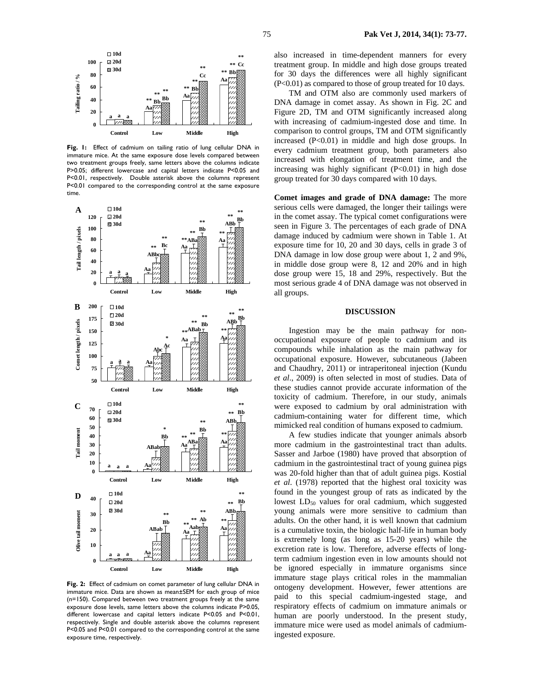

**Fig. 1:** Effect of cadmium on tailing ratio of lung cellular DNA in immature mice. At the same exposure dose levels compared between two treatment groups freely, same letters above the columns indicate P>0.05; different lowercase and capital letters indicate P<0.05 and P<0.01, respectively. Double asterisk above the columns represent P<0.01 compared to the corresponding control at the same exposure time.



**Fig. 2:** Effect of cadmium on comet parameter of lung cellular DNA in immature mice. Data are shown as mean±SEM for each group of mice (n=150). Compared between two treatment groups freely at the same exposure dose levels, same letters above the columns indicate P>0.05, different lowercase and capital letters indicate P<0.05 and P<0.01, respectively. Single and double asterisk above the columns represent P<0.05 and P<0.01 compared to the corresponding control at the same exposure time, respectively.

also increased in time-dependent manners for every treatment group. In middle and high dose groups treated for 30 days the differences were all highly significant (P<0.01) as compared to those of group treated for 10 days.

TM and OTM also are commonly used markers of DNA damage in comet assay. As shown in Fig. 2C and Figure 2D, TM and OTM significantly increased along with increasing of cadmium-ingested dose and time. In comparison to control groups, TM and OTM significantly increased (P<0.01) in middle and high dose groups. In every cadmium treatment group, both parameters also increased with elongation of treatment time, and the increasing was highly significant  $(P<0.01)$  in high dose group treated for 30 days compared with 10 days.

**Comet images and grade of DNA damage:** The more serious cells were damaged, the longer their tailings were in the comet assay. The typical comet configurations were seen in Figure 3. The percentages of each grade of DNA damage induced by cadmium were shown in Table 1. At exposure time for 10, 20 and 30 days, cells in grade 3 of DNA damage in low dose group were about 1, 2 and 9%, in middle dose group were 8, 12 and 20% and in high dose group were 15, 18 and 29%, respectively. But the most serious grade 4 of DNA damage was not observed in all groups.

## **DISCUSSION**

Ingestion may be the main pathway for nonoccupational exposure of people to cadmium and its compounds while inhalation as the main pathway for occupational exposure. However, subcutaneous (Jabeen and Chaudhry, 2011) or intraperitoneal injection (Kundu *et al*., 2009) is often selected in most of studies. Data of these studies cannot provide accurate information of the toxicity of cadmium. Therefore, in our study, animals were exposed to cadmium by oral administration with cadmium-containing water for different time, which mimicked real condition of humans exposed to cadmium.

A few studies indicate that younger animals absorb more cadmium in the gastrointestinal tract than adults. Sasser and Jarboe (1980) have proved that absorption of cadmium in the gastrointestinal tract of young guinea pigs was 20-fold higher than that of adult guinea pigs. Kostial *et al*. (1978) reported that the highest oral toxicity was found in the youngest group of rats as indicated by the lowest  $LD_{50}$  values for oral cadmium, which suggested young animals were more sensitive to cadmium than adults. On the other hand, it is well known that cadmium is a cumulative toxin, the biologic half-life in human body is extremely long (as long as 15-20 years) while the excretion rate is low. Therefore, adverse effects of longterm cadmium ingestion even in low amounts should not be ignored especially in immature organisms since immature stage plays critical roles in the mammalian ontogeny development. However, fewer attentions are paid to this special cadmium-ingested stage, and respiratory effects of cadmium on immature animals or human are poorly understood. In the present study, immature mice were used as model animals of cadmiumingested exposure.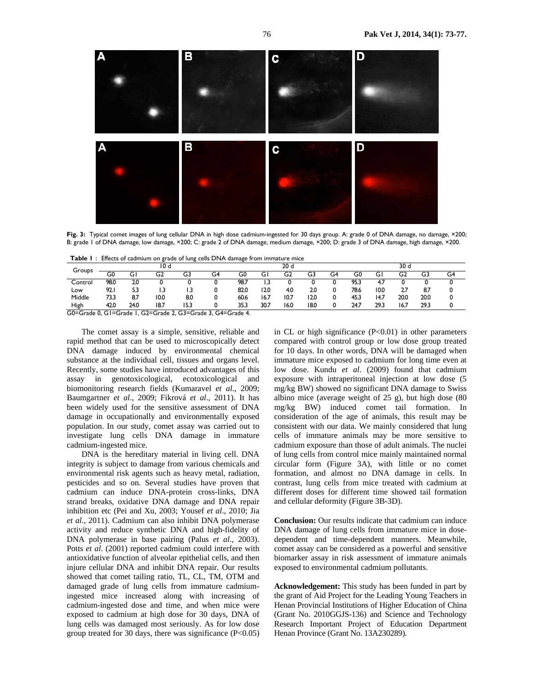

Fig. 3: Typical comet images of lung cellular DNA in high dose cadmium-ingested for 30 days group. A: grade 0 of DNA damage, no damage, ×200; B: grade 1 of DNA damage, low damage, ×200; C: grade 2 of DNA damage, medium damage, ×200; D: grade 3 of DNA damage, high damage, ×200.

|  |  |  | <b>Table I:</b> Effects of cadmium on grade of lung cells DNA damage from immature mice |
|--|--|--|-----------------------------------------------------------------------------------------|
|--|--|--|-----------------------------------------------------------------------------------------|

| Groups                                                      | 10 d |      |      |      | 20d |      |      |                |      | 30 d |      |      |      |      |    |
|-------------------------------------------------------------|------|------|------|------|-----|------|------|----------------|------|------|------|------|------|------|----|
|                                                             | G0   | G١   | G2   | G3   | G4  | G0   | G١   | G <sub>2</sub> | G3   | G4   | G0   | G    | G2   | G3   | G4 |
| Control                                                     | 98.0 | 2.0  |      |      |     | 98.7 | IJ   |                | ι.   |      | 95.3 | 4.1  |      |      |    |
| Low                                                         | 92.1 | 5.3  | 3.،  | ۱.3  |     | 82.0 | 12.0 | 4.0            | 2.0  |      | 78.6 | 10.0 | 27   | 87   | 0  |
| Middle                                                      | 73.3 | 8.7  | 10.0 | 8.0  |     | 60.6 | 16.7 | 10.7           | 12.0 | 0    | 45.3 | 14.7 | 20.0 | 20.0 | 0  |
| High                                                        | 42.0 | 24.0 | 18.7 | 15.3 |     | 35.3 | 30.7 | 16.0           | 18.0 | 0    | 24.7 | 29.3 | 16.7 | 29.3 |    |
| G0=Grade 0, G1=Grade 1, G2=Grade 2, G3=Grade 3, G4=Grade 4. |      |      |      |      |     |      |      |                |      |      |      |      |      |      |    |

The comet assay is a simple, sensitive, reliable and rapid method that can be used to microscopically detect DNA damage induced by environmental chemical substance at the individual cell, tissues and organs level. Recently, some studies have introduced advantages of this assay in genotoxicological, ecotoxicological and biomonitoring research fields (Kumaravel *et al*., 2009; Baumgartner *et al*., 2009; Fikrová *et al*., 2011). It has been widely used for the sensitive assessment of DNA damage in occupationally and environmentally exposed population. In our study, comet assay was carried out to investigate lung cells DNA damage in immature cadmium-ingested mice.

DNA is the hereditary material in living cell. DNA integrity is subject to damage from various chemicals and environmental risk agents such as heavy metal, radiation, pesticides and so on. Several studies have proven that cadmium can induce DNA-protein cross-links, DNA strand breaks, oxidative DNA damage and DNA repair inhibition etc (Pei and Xu, 2003; Yousef *et al*., 2010; Jia *et al*., 2011). Cadmium can also inhibit DNA polymerase activity and reduce synthetic DNA and high-fidelity of DNA polymerase in base pairing (Palus *et al*., 2003). Potts *et al*. (2001) reported cadmium could interfere with antioxidative function of alveolar epithelial cells, and then injure cellular DNA and inhibit DNA repair. Our results showed that comet tailing ratio, TL, CL, TM, OTM and damaged grade of lung cells from immature cadmiumingested mice increased along with increasing of cadmium-ingested dose and time, and when mice were exposed to cadmium at high dose for 30 days, DNA of lung cells was damaged most seriously. As for low dose group treated for 30 days, there was significance  $(P<0.05)$  in CL or high significance  $(P<0.01)$  in other parameters compared with control group or low dose group treated for 10 days. In other words, DNA will be damaged when immature mice exposed to cadmium for long time even at low dose. Kundu *et al*. (2009) found that cadmium exposure with intraperitoneal injection at low dose (5 mg/kg BW) showed no significant DNA damage to Swiss albino mice (average weight of 25 g), but high dose (80 mg/kg BW) induced comet tail formation. In consideration of the age of animals, this result may be consistent with our data. We mainly considered that lung cells of immature animals may be more sensitive to cadmium exposure than those of adult animals. The nuclei of lung cells from control mice mainly maintained normal circular form (Figure 3A), with little or no comet formation, and almost no DNA damage in cells. In contrast, lung cells from mice treated with cadmium at different doses for different time showed tail formation and cellular deformity (Figure 3B-3D).

**Conclusion:** Our results indicate that cadmium can induce DNA damage of lung cells from immature mice in dosedependent and time-dependent manners. Meanwhile, comet assay can be considered as a powerful and sensitive biomarker assay in risk assessment of immature animals exposed to environmental cadmium pollutants.

**Acknowledgement:** This study has been funded in part by the grant of Aid Project for the Leading Young Teachers in Henan Provincial Institutions of Higher Education of China (Grant No. 2010GGJS-136) and Science and Technology Research Important Project of Education Department Henan Province (Grant No. 13A230289).